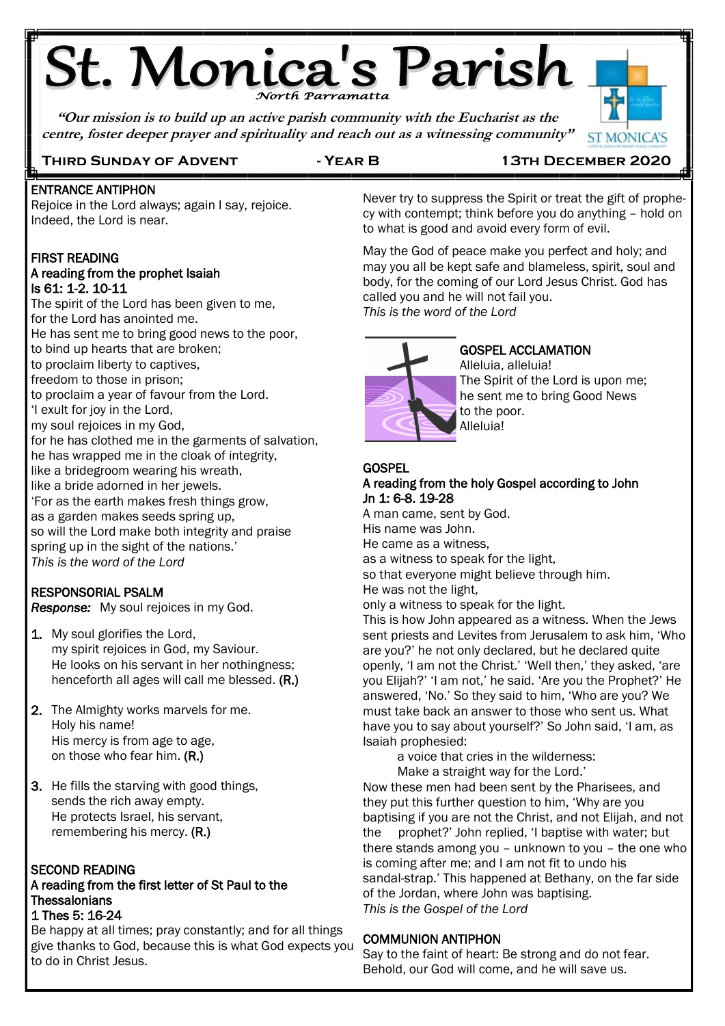# **St. Monica's Parish**

**"Our mission is to build up an active parish community with the Eucharist as the centre, foster deeper prayer and spirituality and reach out as a witnessing community"**



## **Third Sunday of Advent - Year B 13th December 2020**

#### j ENTRANCE ANTIPHON

Rejoice in the Lord always; again I say, rejoice. Indeed, the Lord is near.

## FIRST READING A reading from the prophet Isaiah Is 61: 1-2. 10-11

The spirit of the Lord has been given to me, for the Lord has anointed me. He has sent me to bring good news to the poor, to bind up hearts that are broken; to proclaim liberty to captives, freedom to those in prison; to proclaim a year of favour from the Lord. 'I exult for joy in the Lord, my soul rejoices in my God, for he has clothed me in the garments of salvation, he has wrapped me in the cloak of integrity, like a bridegroom wearing his wreath, like a bride adorned in her jewels. 'For as the earth makes fresh things grow, as a garden makes seeds spring up, so will the Lord make both integrity and praise spring up in the sight of the nations.' *This is the word of the Lord*

## RESPONSORIAL PSALM

*Response:* My soul rejoices in my God.

- 1. My soul glorifies the Lord, my spirit rejoices in God, my Saviour. He looks on his servant in her nothingness; henceforth all ages will call me blessed. (R.)
- 2. The Almighty works marvels for me. Holy his name! His mercy is from age to age, on those who fear him. (R.)
- 3. He fills the starving with good things, sends the rich away empty. He protects Israel, his servant, remembering his mercy. (R.)

## SECOND READING

## A reading from the first letter of St Paul to the **Thessalonians**

## 1 Thes 5: 16-24

Be happy at all times; pray constantly; and for all things give thanks to God, because this is what God expects you to do in Christ Jesus.

Never try to suppress the Spirit or treat the gift of prophecy with contempt; think before you do anything – hold on to what is good and avoid every form of evil.

May the God of peace make you perfect and holy; and may you all be kept safe and blameless, spirit, soul and body, for the coming of our Lord Jesus Christ. God has called you and he will not fail you. *This is the word of the Lord*



## GOSPEL ACCLAMATION

Alleluia, alleluia! The Spirit of the Lord is upon me; he sent me to bring Good News to the poor. Alleluia!

## **GOSPEL**

## A reading from the holy Gospel according to John Jn 1: 6-8. 19-28

A man came, sent by God. His name was John. He came as a witness, as a witness to speak for the light, so that everyone might believe through him. He was not the light, only a witness to speak for the light. This is how John appeared as a witness. When the Jews

sent priests and Levites from Jerusalem to ask him, 'Who are you?' he not only declared, but he declared quite openly, 'I am not the Christ.' 'Well then,' they asked, 'are you Elijah?' 'I am not,' he said. 'Are you the Prophet?' He answered, 'No.' So they said to him, 'Who are you? We must take back an answer to those who sent us. What have you to say about yourself?' So John said, 'I am, as Isaiah prophesied:

a voice that cries in the wilderness: Make a straight way for the Lord.'

Now these men had been sent by the Pharisees, and they put this further question to him, 'Why are you baptising if you are not the Christ, and not Elijah, and not the prophet?' John replied, 'I baptise with water; but there stands among you – unknown to you – the one who is coming after me; and I am not fit to undo his sandal-strap.' This happened at Bethany, on the far side of the Jordan, where John was baptising. *This is the Gospel of the Lord*

## COMMUNION ANTIPHON

Say to the faint of heart: Be strong and do not fear. Behold, our God will come, and he will save us.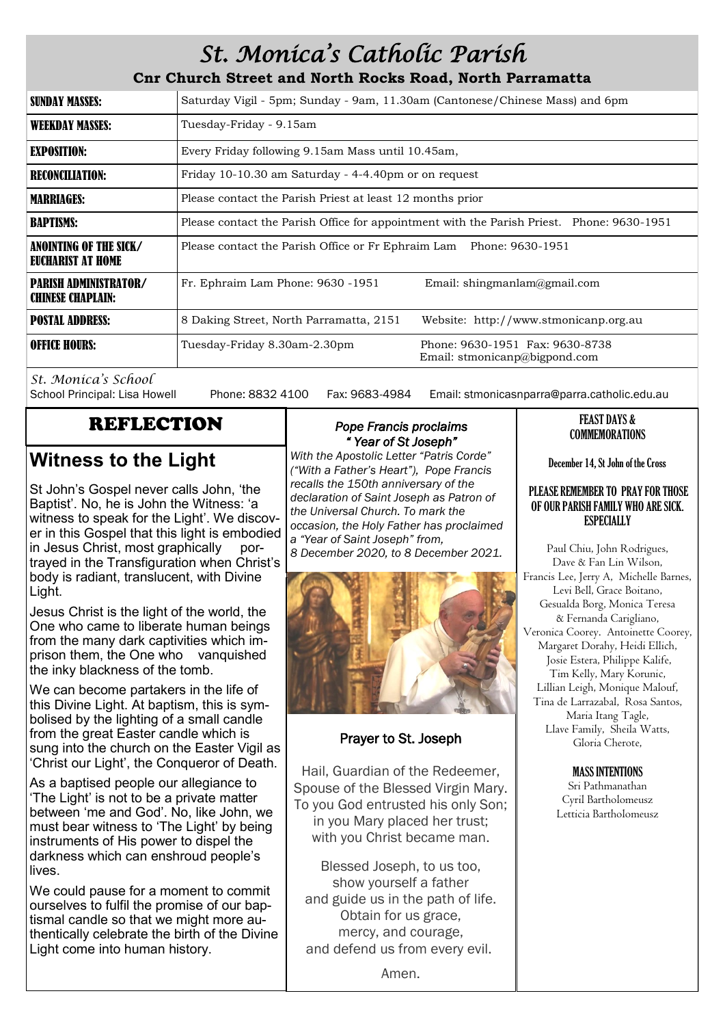## *St. Monica's Catholic Parish*

**Cnr Church Street and North Rocks Road, North Parramatta**

| SUNDAY MASSES:                                           | Saturday Vigil - 5pm; Sunday - 9am, 11.30am (Cantonese/Chinese Mass) and 6pm              |                                                                  |  |
|----------------------------------------------------------|-------------------------------------------------------------------------------------------|------------------------------------------------------------------|--|
| <b>WEEKDAY MASSES:</b>                                   | Tuesday-Friday - 9.15am                                                                   |                                                                  |  |
| <b>EXPOSITION:</b>                                       | Every Friday following 9.15am Mass until 10.45am,                                         |                                                                  |  |
| <b>RECONCILIATION:</b>                                   | Friday 10-10.30 am Saturday - 4-4.40pm or on request                                      |                                                                  |  |
| <b>MARRIAGES:</b>                                        | Please contact the Parish Priest at least 12 months prior                                 |                                                                  |  |
| <b>BAPTISMS:</b>                                         | Please contact the Parish Office for appointment with the Parish Priest. Phone: 9630-1951 |                                                                  |  |
| <b>ANOINTING OF THE SICK/</b><br>EUCHARIST AT HOME       | Please contact the Parish Office or Fr Ephraim Lam Phone: 9630-1951                       |                                                                  |  |
| <b>PARISH ADMINISTRATOR/</b><br><b>CHINESE CHAPLAIN:</b> | Fr. Ephraim Lam Phone: 9630 -1951                                                         | Email: shingmanlam@gmail.com                                     |  |
| <b>POSTAL ADDRESS:</b>                                   | 8 Daking Street, North Parramatta, 2151                                                   | Website: http://www.stmonicanp.org.au                            |  |
| <b>OFFICE HOURS:</b>                                     | Tuesday-Friday 8.30am-2.30pm                                                              | Phone: 9630-1951 Fax: 9630-8738<br>Email: stmonicanp@bigpond.com |  |

*St. Monica's School*

Phone: 8832 4100 Fax: 9683-4984 Email: stmonicasnparra@parra.catholic.edu.au

## REFLECTION

## **Witness to the Light**

St John's Gospel never calls John, 'the Baptist'. No, he is John the Witness: 'a witness to speak for the Light'. We discover in this Gospel that this light is embodied in Jesus Christ, most graphically portrayed in the Transfiguration when Christ's body is radiant, translucent, with Divine Light.

Jesus Christ is the light of the world, the One who came to liberate human beings from the many dark captivities which imprison them, the One who vanquished the inky blackness of the tomb.

We can become partakers in the life of this Divine Light. At baptism, this is symbolised by the lighting of a small candle from the great Easter candle which is sung into the church on the Easter Vigil as 'Christ our Light', the Conqueror of Death.

As a baptised people our allegiance to 'The Light' is not to be a private matter between 'me and God'. No, like John, we must bear witness to 'The Light' by being instruments of His power to dispel the darkness which can enshroud people's lives.

We could pause for a moment to commit ourselves to fulfil the promise of our baptismal candle so that we might more authentically celebrate the birth of the Divine Light come into human history.

## *Pope Francis proclaims " Year of St Joseph"*

*With the Apostolic Letter "Patris Corde" ("With a Father's Heart"), Pope Francis recalls the 150th anniversary of the declaration of Saint Joseph as Patron of the Universal Church. To mark the occasion, the Holy Father has proclaimed a "Year of Saint Joseph" from,* 

*8 December 2020, to 8 December 2021.* 



## Prayer to St. Joseph

Hail, Guardian of the Redeemer, Spouse of the Blessed Virgin Mary. To you God entrusted his only Son; in you Mary placed her trust; with you Christ became man.

Blessed Joseph, to us too, show yourself a father and guide us in the path of life. Obtain for us grace, mercy, and courage, and defend us from every evil.

## FEAST DAYS & **COMMEMORATIONS**

December 14, St John of the Cross

## PLEASE REMEMBER TO PRAY FOR THOSE OF OUR PARISH FAMILY WHO ARE SICK. **ESPECIALLY**

Paul Chiu, John Rodrigues, Dave & Fan Lin Wilson, Francis Lee, Jerry A, Michelle Barnes, Levi Bell, Grace Boitano, Gesualda Borg, Monica Teresa & Fernanda Carigliano, Veronica Coorey. Antoinette Coorey, Margaret Dorahy, Heidi Ellich, Josie Estera, Philippe Kalife, Tim Kelly, Mary Korunic, Lillian Leigh, Monique Malouf, Tina de Larrazabal, Rosa Santos, Maria Itang Tagle, Llave Family, Sheila Watts, Gloria Cherote,

## MASS INTENTIONS

Sri Pathmanathan Cyril Bartholomeusz Letticia Bartholomeusz

Amen.